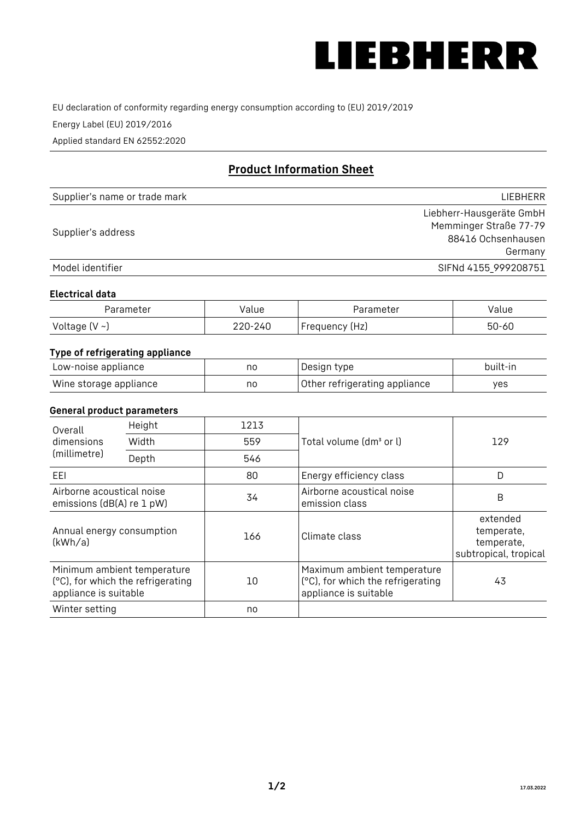

EU declaration of conformity regarding energy consumption according to (EU) 2019/2019

Energy Label (EU) 2019/2016

Applied standard EN 62552:2020

# **Product Information Sheet**

| Supplier's name or trade mark | <b>LIFBHFRR</b>          |
|-------------------------------|--------------------------|
|                               | Liebherr-Hausgeräte GmbH |
| Supplier's address            | Memminger Straße 77-79   |
|                               | 88416 Ochsenhausen       |
|                               | Germany                  |
| Model identifier              | SIFNd 4155 999208751     |

## **Electrical data**

| Parameter     | Value   | Parameter      | alue/     |
|---------------|---------|----------------|-----------|
| Voltage (V ~J | 220-240 | Frequency (Hz) | $50 - 60$ |

# **Type of refrigerating appliance**

| Low-noise appliance    | no | Design type                   | built-in |
|------------------------|----|-------------------------------|----------|
| Wine storage appliance | no | Other refrigerating appliance | yes      |

## **General product parameters**

| Height<br>Overall                                      |                                   | 1213 |                                                                                           |                                                               |
|--------------------------------------------------------|-----------------------------------|------|-------------------------------------------------------------------------------------------|---------------------------------------------------------------|
| dimensions<br>(millimetre)                             | Width                             | 559  | Total volume (dm <sup>3</sup> or l)                                                       | 129                                                           |
|                                                        | Depth                             | 546  |                                                                                           |                                                               |
| EEL                                                    |                                   | 80   | Energy efficiency class                                                                   | D                                                             |
| Airborne acoustical noise<br>emissions (dB(A) re 1 pW) |                                   | 34   | Airborne acoustical noise<br>emission class                                               | B                                                             |
| Annual energy consumption<br>(kWh/a)                   |                                   | 166  | Climate class                                                                             | extended<br>temperate,<br>temperate,<br>subtropical, tropical |
| Minimum ambient temperature<br>appliance is suitable   | (°C), for which the refrigerating | 10   | Maximum ambient temperature<br>(°C), for which the refrigerating<br>appliance is suitable | 43                                                            |
| Winter setting                                         |                                   | no   |                                                                                           |                                                               |